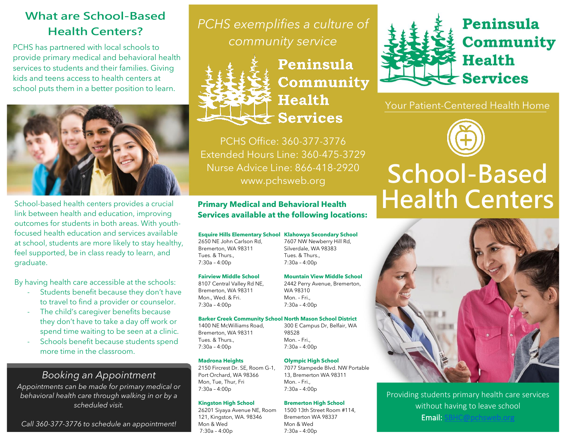# **What are School-Based Health Centers?**

PCHS has partnered with local schools to provide primary medical and behavioral health services to students and their families. Giving kids and teens access to health centers at school puts them in a better position to learn.



School-based health centers provides a crucial link between health and education, improving outcomes for students in both areas. With youthfocused health education and services available at school, students are more likely to stay healthy, feel supported, be in class ready to learn, and graduate.

By having health care accessible at the schools:

- Students benefit because they don't have to travel to find a provider or counselor.
- The child's caregiver benefits because they don't have to take a day off work or spend time waiting to be seen at a clinic.
- Schools benefit because students spend more time in the classroom.

## *Booking an Appointment*

*Appointments can be made for primary medical or behavioral health care through walking in or by a scheduled visit.*

*Call 360-377-3776 to schedule an appointment!*

*PCHS exemplifies a culture of community service*



Peninsula Community **Health Services** 

PCHS Office: 360-377-3776 Extended Hours Line: 360-475-3729 Nurse Advice Line: 866-418-2920 www.pchsweb.org

## **Primary Medical and Behavioral Health Services available at the following locations:**

## **Esquire Hills Elementary School Klahowya Secondary School**

2650 NE John Carlson Rd, Bremerton, WA 98311 Tues. & Thurs., 7:30a – 4:00p

## **Fairview Middle School**

8107 Central Valley Rd NE, Bremerton, WA 98311 Mon., Wed. & Fri. 7:30a – 4:00p

7:30a – 4:00p **Mountain View Middle School**

7607 NW Newberry Hill Rd, Silverdale, WA 98383 Tues. & Thurs.,

2442 Perry Avenue, Bremerton, WA 98310 Mon. – Fri.,

## **Barker Creek Community School North Mason School District**

1400 NE McWilliams Road, Bremerton, WA 98311 Tues. & Thurs., 7:30a – 4:00p

## **Madrona Heights**

2150 Fircrest Dr. SE, Room G-1, Port Orchard, WA 98366 Mon, Tue, Thur, Fri 7:30a – 4:00p

## **Kingston High School**

26201 Siyaya Avenue NE, Room 121, Kingston, WA. 98346 Mon & Wed 7:30a – 4:00p



Peninsula **Community Health Services** 

Your Patient-Centered Health Home



# **Health Centers School-Based**



Providing students primary health care services without having to leave school Email: [SBHC@pchsweb.org](mailto:SBHC@pchsweb.org) 

7:30a – 4:00p 300 E Campus Dr, Belfair, WA

98528 Mon. – Fri.,  $7:30a - 4:00p$ 

## **Olympic High School**

7077 Stampede Blvd. NW Portable 13, Bremerton WA 98311 Mon. – Fri., 7:30a – 4:00p

## **Bremerton High School**

1500 13th Street Room #114, Bremerton WA 98337 Mon & Wed  $7:30a - 4:00p$